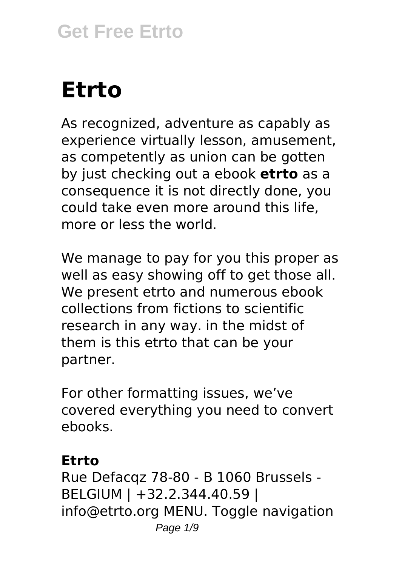# **Etrto**

As recognized, adventure as capably as experience virtually lesson, amusement, as competently as union can be gotten by just checking out a ebook **etrto** as a consequence it is not directly done, you could take even more around this life, more or less the world.

We manage to pay for you this proper as well as easy showing off to get those all. We present etrto and numerous ebook collections from fictions to scientific research in any way. in the midst of them is this etrto that can be your partner.

For other formatting issues, we've covered everything you need to convert ebooks.

#### **Etrto**

Rue Defacqz 78-80 - B 1060 Brussels - BELGIUM | +32.2.344.40.59 | info@etrto.org MENU. Toggle navigation Page  $1/9$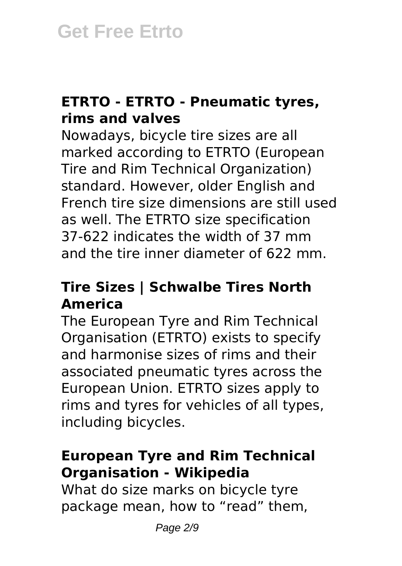## **ETRTO - ETRTO - Pneumatic tyres, rims and valves**

Nowadays, bicycle tire sizes are all marked according to ETRTO (European Tire and Rim Technical Organization) standard. However, older English and French tire size dimensions are still used as well. The ETRTO size specification 37-622 indicates the width of 37 mm and the tire inner diameter of 622 mm.

## **Tire Sizes | Schwalbe Tires North America**

The European Tyre and Rim Technical Organisation (ETRTO) exists to specify and harmonise sizes of rims and their associated pneumatic tyres across the European Union. ETRTO sizes apply to rims and tyres for vehicles of all types, including bicycles.

#### **European Tyre and Rim Technical Organisation - Wikipedia**

What do size marks on bicycle tyre package mean, how to "read" them,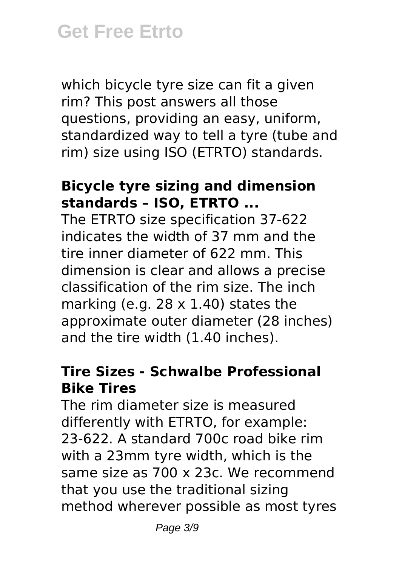which bicycle tyre size can fit a given rim? This post answers all those questions, providing an easy, uniform, standardized way to tell a tyre (tube and rim) size using ISO (ETRTO) standards.

#### **Bicycle tyre sizing and dimension standards – ISO, ETRTO ...**

The ETRTO size specification 37-622 indicates the width of 37 mm and the tire inner diameter of 622 mm. This dimension is clear and allows a precise classification of the rim size. The inch marking (e.g.  $28 \times 1.40$ ) states the approximate outer diameter (28 inches) and the tire width (1.40 inches).

## **Tire Sizes - Schwalbe Professional Bike Tires**

The rim diameter size is measured differently with ETRTO, for example: 23-622. A standard 700c road bike rim with a 23mm tyre width, which is the same size as 700 x 23c. We recommend that you use the traditional sizing method wherever possible as most tyres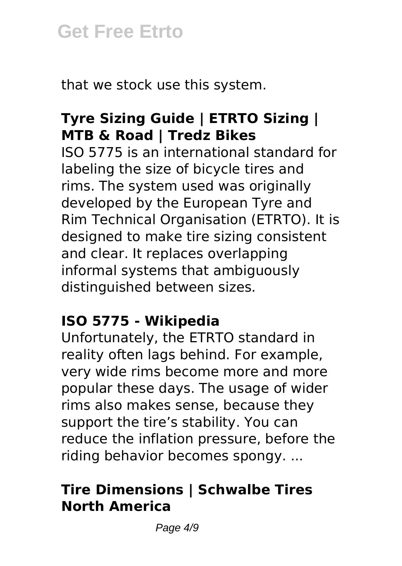that we stock use this system.

# **Tyre Sizing Guide | ETRTO Sizing | MTB & Road | Tredz Bikes**

ISO 5775 is an international standard for labeling the size of bicycle tires and rims. The system used was originally developed by the European Tyre and Rim Technical Organisation (ETRTO). It is designed to make tire sizing consistent and clear. It replaces overlapping informal systems that ambiguously distinguished between sizes.

#### **ISO 5775 - Wikipedia**

Unfortunately, the ETRTO standard in reality often lags behind. For example, very wide rims become more and more popular these days. The usage of wider rims also makes sense, because they support the tire's stability. You can reduce the inflation pressure, before the riding behavior becomes spongy. ...

# **Tire Dimensions | Schwalbe Tires North America**

Page  $4/9$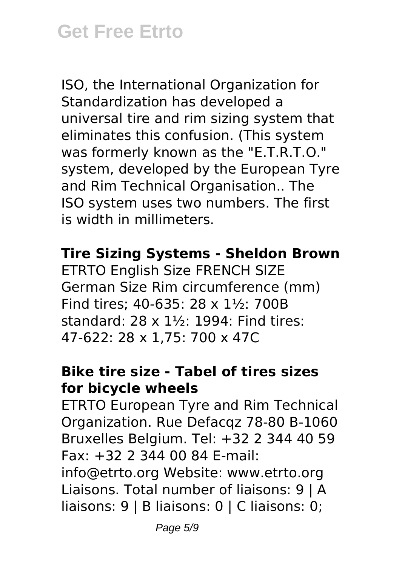ISO, the International Organization for Standardization has developed a universal tire and rim sizing system that eliminates this confusion. (This system was formerly known as the "E.T.R.T.O." system, developed by the European Tyre and Rim Technical Organisation.. The ISO system uses two numbers. The first is width in millimeters.

#### **Tire Sizing Systems - Sheldon Brown**

ETRTO English Size FRENCH SIZE German Size Rim circumference (mm) Find tires; 40-635: 28 x 1½: 700B standard: 28 x 1½: 1994: Find tires: 47-622: 28 x 1,75: 700 x 47C

## **Bike tire size - Tabel of tires sizes for bicycle wheels**

ETRTO European Tyre and Rim Technical Organization. Rue Defacqz 78-80 B-1060 Bruxelles Belgium. Tel: +32 2 344 40 59 Fax: +32 2 344 00 84 E-mail: info@etrto.org Website: www.etrto.org Liaisons. Total number of liaisons: 9 | A liaisons: 9 | B liaisons: 0 | C liaisons: 0;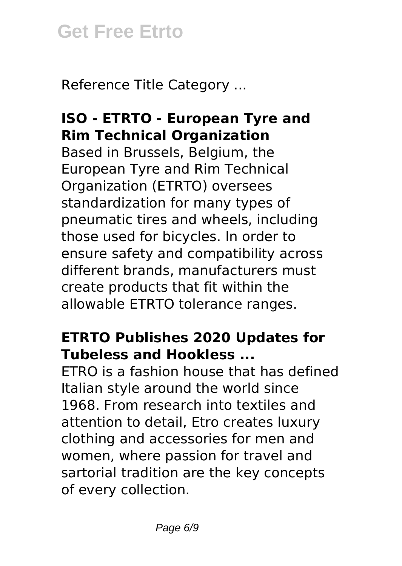Reference Title Category ...

# **ISO - ETRTO - European Tyre and Rim Technical Organization**

Based in Brussels, Belgium, the European Tyre and Rim Technical Organization (ETRTO) oversees standardization for many types of pneumatic tires and wheels, including those used for bicycles. In order to ensure safety and compatibility across different brands, manufacturers must create products that fit within the allowable ETRTO tolerance ranges.

# **ETRTO Publishes 2020 Updates for Tubeless and Hookless ...**

ETRO is a fashion house that has defined Italian style around the world since 1968. From research into textiles and attention to detail, Etro creates luxury clothing and accessories for men and women, where passion for travel and sartorial tradition are the key concepts of every collection.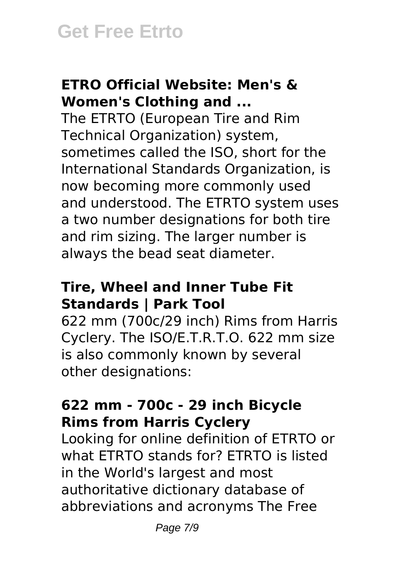## **ETRO Official Website: Men's & Women's Clothing and ...**

The ETRTO (European Tire and Rim Technical Organization) system, sometimes called the ISO, short for the International Standards Organization, is now becoming more commonly used and understood. The ETRTO system uses a two number designations for both tire and rim sizing. The larger number is always the bead seat diameter.

## **Tire, Wheel and Inner Tube Fit Standards | Park Tool**

622 mm (700c/29 inch) Rims from Harris Cyclery. The ISO/E.T.R.T.O. 622 mm size is also commonly known by several other designations:

#### **622 mm - 700c - 29 inch Bicycle Rims from Harris Cyclery**

Looking for online definition of ETRTO or what ETRTO stands for? ETRTO is listed in the World's largest and most authoritative dictionary database of abbreviations and acronyms The Free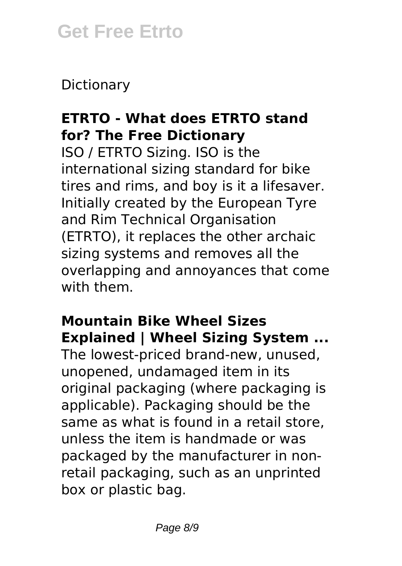Dictionary

# **ETRTO - What does ETRTO stand for? The Free Dictionary**

ISO / ETRTO Sizing. ISO is the international sizing standard for bike tires and rims, and boy is it a lifesaver. Initially created by the European Tyre and Rim Technical Organisation (ETRTO), it replaces the other archaic sizing systems and removes all the overlapping and annoyances that come with them.

# **Mountain Bike Wheel Sizes Explained | Wheel Sizing System ...**

The lowest-priced brand-new, unused, unopened, undamaged item in its original packaging (where packaging is applicable). Packaging should be the same as what is found in a retail store, unless the item is handmade or was packaged by the manufacturer in nonretail packaging, such as an unprinted box or plastic bag.